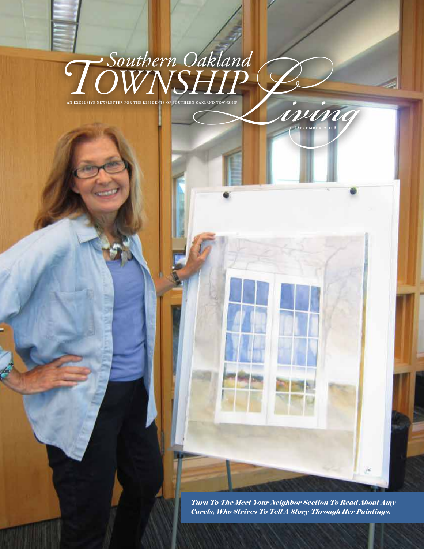## $\frac{750}{{\rm WINSHIP}}$ *Southern Oakland* **A N EXCLU S I VE N EW S L ET TER F OR T H E RE S I DE N T S O F S O U T H ER N O A K L A N D TOW N S H I P**

*Turn To The Meet Your Neighbor Section To Read About Amy Carels, Who Strives To Tell A Story Through Her Paintings.*